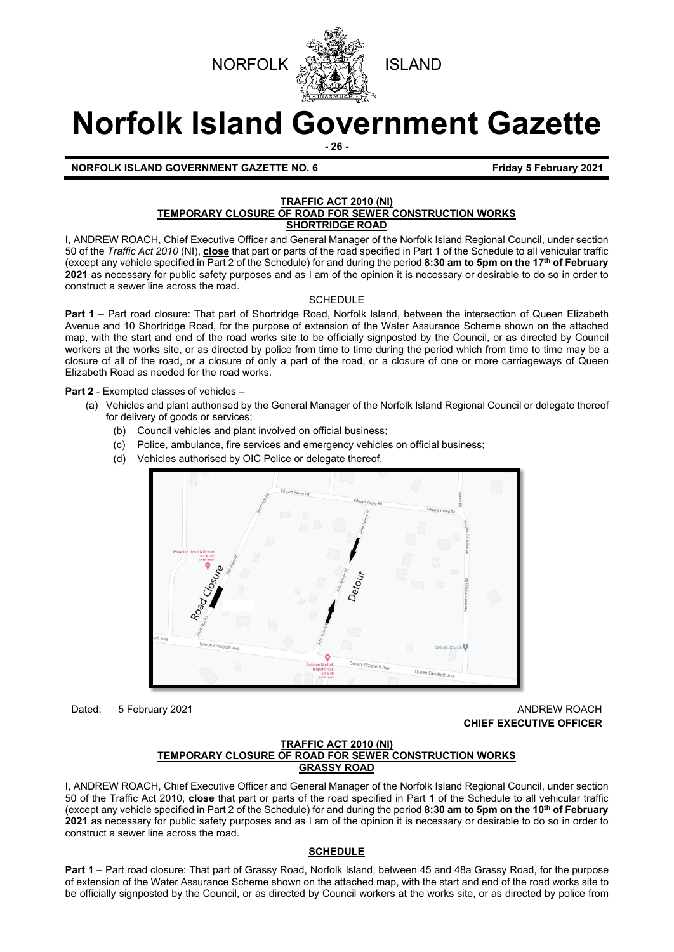



# **Norfolk Island Government Gazette**

**- 26 -**

**NORFOLK ISLAND GOVERNMENT GAZETTE NO. 6 Friday 5 February 2021**

# **TRAFFIC ACT 2010 (NI) TEMPORARY CLOSURE OF ROAD FOR SEWER CONSTRUCTION WORKS**

# **SHORTRIDGE ROAD**

I, ANDREW ROACH, Chief Executive Officer and General Manager of the Norfolk Island Regional Council, under section 50 of the *Traffic Act 2010* (NI), **close** that part or parts of the road specified in Part 1 of the Schedule to all vehicular traffic (except any vehicle specified in Part 2 of the Schedule) for and during the period **8:30 am to 5pm on the 17th of February 2021** as necessary for public safety purposes and as I am of the opinion it is necessary or desirable to do so in order to construct a sewer line across the road.

# SCHEDULE

**Part 1** – Part road closure: That part of Shortridge Road, Norfolk Island, between the intersection of Queen Elizabeth Avenue and 10 Shortridge Road, for the purpose of extension of the Water Assurance Scheme shown on the attached map, with the start and end of the road works site to be officially signposted by the Council, or as directed by Council workers at the works site, or as directed by police from time to time during the period which from time to time may be a closure of all of the road, or a closure of only a part of the road, or a closure of one or more carriageways of Queen Elizabeth Road as needed for the road works.

**Part 2** - Exempted classes of vehicles –

- (a) Vehicles and plant authorised by the General Manager of the Norfolk Island Regional Council or delegate thereof for delivery of goods or services;
	- (b) Council vehicles and plant involved on official business;
	- (c) Police, ambulance, fire services and emergency vehicles on official business;
	- (d) Vehicles authorised by OIC Police or delegate thereof.



Dated: 5 February 2021 **ANDREW ROACH CONSUMING THE CONSUMING THE CONSUMING TEAM CHIEF EXECUTIVE OFFICER** 

#### **TRAFFIC ACT 2010 (NI) TEMPORARY CLOSURE OF ROAD FOR SEWER CONSTRUCTION WORKS GRASSY ROAD**

I, ANDREW ROACH, Chief Executive Officer and General Manager of the Norfolk Island Regional Council, under section 50 of the Traffic Act 2010, **close** that part or parts of the road specified in Part 1 of the Schedule to all vehicular traffic (except any vehicle specified in Part 2 of the Schedule) for and during the period **8:30 am to 5pm on the 10th of February 2021** as necessary for public safety purposes and as I am of the opinion it is necessary or desirable to do so in order to construct a sewer line across the road.

# **SCHEDULE**

**Part 1** – Part road closure: That part of Grassy Road, Norfolk Island, between 45 and 48a Grassy Road, for the purpose of extension of the Water Assurance Scheme shown on the attached map, with the start and end of the road works site to be officially signposted by the Council, or as directed by Council workers at the works site, or as directed by police from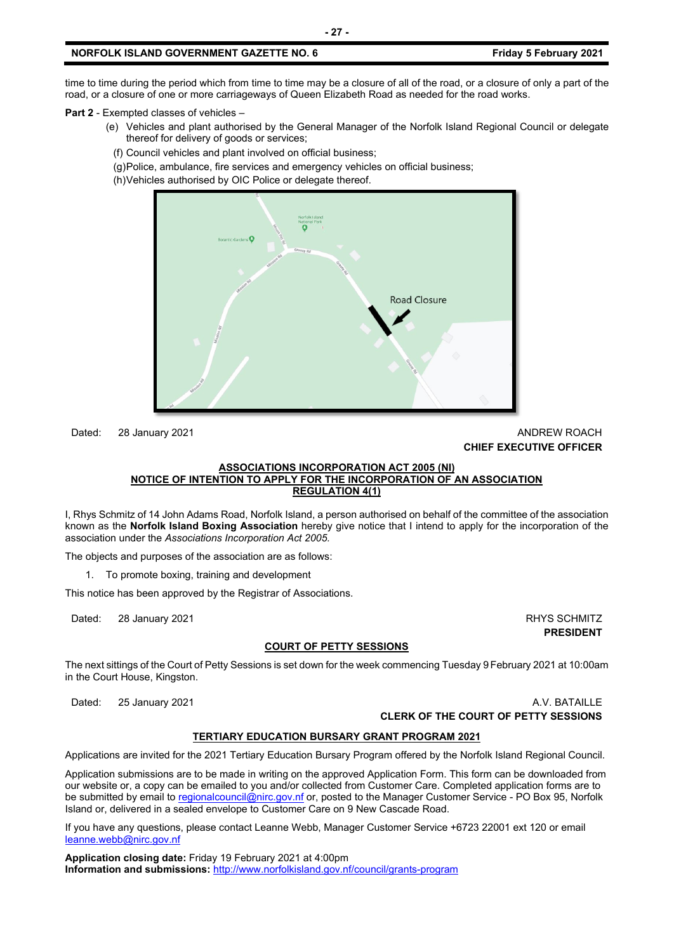time to time during the period which from time to time may be a closure of all of the road, or a closure of only a part of the road, or a closure of one or more carriageways of Queen Elizabeth Road as needed for the road works.

**Part 2** - Exempted classes of vehicles –

- (e) Vehicles and plant authorised by the General Manager of the Norfolk Island Regional Council or delegate thereof for delivery of goods or services;
	- (f) Council vehicles and plant involved on official business;
	- (g) Police, ambulance, fire services and emergency vehicles on official business;
- (h) Vehicles authorised by OIC Police or delegate thereof.



## Dated: 28 January 2021 **ANDREW ROACH CONSUMING THE CONSUMING THE CONSUMING TEAM CHIEF EXECUTIVE OFFICER**

#### **ASSOCIATIONS INCORPORATION ACT 2005 (NI) NOTICE OF INTENTION TO APPLY FOR THE INCORPORATION OF AN ASSOCIATION REGULATION 4(1)**

I, Rhys Schmitz of 14 John Adams Road, Norfolk Island, a person authorised on behalf of the committee of the association known as the **Norfolk Island Boxing Association** hereby give notice that I intend to apply for the incorporation of the association under the *Associations Incorporation Act 2005.* 

The objects and purposes of the association are as follows:

1. To promote boxing, training and development

This notice has been approved by the Registrar of Associations.

Dated: 28 January 2021 2008 2012 20:00 20:00 20:00 20:00 20:00 20:00 20:00 20:00 20:00 20:00 20:00 20:00 20:00

**PRESIDENT**

#### **COURT OF PETTY SESSIONS**

The next sittings of the Court of Petty Sessions is set down for the week commencing Tuesday 9February 2021 at 10:00am in the Court House, Kingston.

Dated: 25 January 2021 **A.V. BATAILLE CLERK OF THE COURT OF PETTY SESSIONS**

#### **TERTIARY EDUCATION BURSARY GRANT PROGRAM 2021**

Applications are invited for the 2021 Tertiary Education Bursary Program offered by the Norfolk Island Regional Council.

Application submissions are to be made in writing on the approved Application Form. This form can be downloaded from our website or, a copy can be emailed to you and/or collected from Customer Care. Completed application forms are to be submitted by email t[o regionalcouncil@nirc.gov.nf](mailto:regionalcouncil@nirc.gov.nf) or, posted to the Manager Customer Service - PO Box 95, Norfolk Island or, delivered in a sealed envelope to Customer Care on 9 New Cascade Road.

If you have any questions, please contact Leanne Webb, Manager Customer Service +6723 22001 ext 120 or email [leanne.webb@nirc.gov.nf](mailto:leanne.webb@nirc.gov.nf)

**Application closing date:** Friday 19 February 2021 at 4:00pm **Information and submissions:** <http://www.norfolkisland.gov.nf/council/grants-program>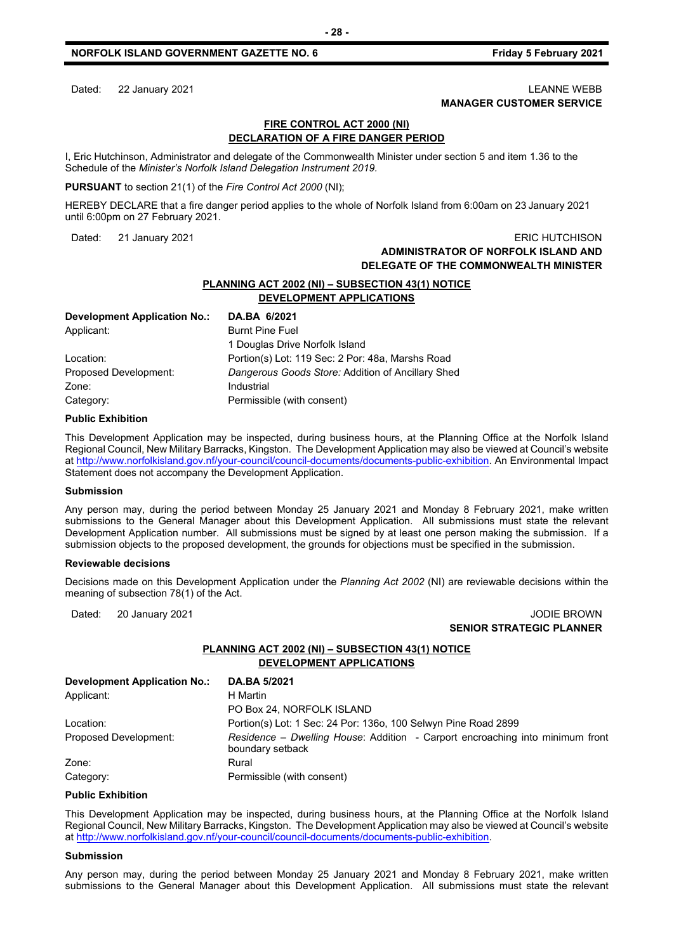#### Dated: 22 January 2021 2008 2021 2012 20:30 20:30 20:30 20:30 20:30 20:30 20:30 20:30 20:30 20:30 20:30 20:30 **MANAGER CUSTOMER SERVICE**

#### **FIRE CONTROL ACT 2000 (NI) DECLARATION OF A FIRE DANGER PERIOD**

I, Eric Hutchinson, Administrator and delegate of the Commonwealth Minister under section 5 and item 1.36 to the Schedule of the *Minister's Norfolk Island Delegation Instrument 2019.*

**PURSUANT** to section 21(1) of the *Fire Control Act 2000* (NI);

HEREBY DECLARE that a fire danger period applies to the whole of Norfolk Island from 6:00am on 23 January 2021 until 6:00pm on 27 February 2021.

# Dated: 21 January 2021 2008 2009 2009 2009 2012 2013 2014 2015 2020 2021 2022 203 **ADMINISTRATOR OF NORFOLK ISLAND AND DELEGATE OF THE COMMONWEALTH MINISTER**

# **PLANNING ACT 2002 (NI) – SUBSECTION 43(1) NOTICE DEVELOPMENT APPLICATIONS**

| Development Application No.: | DA.BA 6/2021                                      |
|------------------------------|---------------------------------------------------|
| Applicant:                   | <b>Burnt Pine Fuel</b>                            |
|                              | 1 Douglas Drive Norfolk Island                    |
| Location:                    | Portion(s) Lot: 119 Sec: 2 Por: 48a, Marshs Road  |
| Proposed Development:        | Dangerous Goods Store: Addition of Ancillary Shed |
| Zone:                        | Industrial                                        |
| Category:                    | Permissible (with consent)                        |

#### **Public Exhibition**

This Development Application may be inspected, during business hours, at the Planning Office at the Norfolk Island Regional Council, New Military Barracks, Kingston. The Development Application may also be viewed at Council's website a[t http://www.norfolkisland.gov.nf/your-council/council-documents/documents-public-exhibition.](http://www.norfolkisland.gov.nf/your-council/council-documents/documents-public-exhibition) An Environmental Impact Statement does not accompany the Development Application.

#### **Submission**

Any person may, during the period between Monday 25 January 2021 and Monday 8 February 2021, make written submissions to the General Manager about this Development Application. All submissions must state the relevant Development Application number. All submissions must be signed by at least one person making the submission. If a submission objects to the proposed development, the grounds for objections must be specified in the submission.

#### **Reviewable decisions**

Decisions made on this Development Application under the *Planning Act 2002* (NI) are reviewable decisions within the meaning of subsection 78(1) of the Act.

#### Dated: 20 January 2021 **Dates: 19 John Property 20 John Property 20 John Property 20 John Property 20 John Property 20 John Property 20 John Property 20 John Property 20 John Property 20 John Property 20 John Property 20 J SENIOR STRATEGIC PLANNER**

# **PLANNING ACT 2002 (NI) – SUBSECTION 43(1) NOTICE DEVELOPMENT APPLICATIONS**

| <b>Development Application No.:</b> | DA.BA 5/2021                                                                                      |
|-------------------------------------|---------------------------------------------------------------------------------------------------|
| Applicant:                          | H Martin                                                                                          |
|                                     | PO Box 24, NORFOLK ISLAND                                                                         |
| Location:                           | Portion(s) Lot: 1 Sec: 24 Por: 1360, 100 Selwyn Pine Road 2899                                    |
| Proposed Development:               | Residence – Dwelling House: Addition - Carport encroaching into minimum front<br>boundary setback |
| Zone:                               | Rural                                                                                             |
| Category:                           | Permissible (with consent)                                                                        |

#### **Public Exhibition**

This Development Application may be inspected, during business hours, at the Planning Office at the Norfolk Island Regional Council, New Military Barracks, Kingston. The Development Application may also be viewed at Council's website a[t http://www.norfolkisland.gov.nf/your-council/council-documents/documents-public-exhibition.](http://www.norfolkisland.gov.nf/your-council/council-documents/documents-public-exhibition)

#### **Submission**

Any person may, during the period between Monday 25 January 2021 and Monday 8 February 2021, make written submissions to the General Manager about this Development Application. All submissions must state the relevant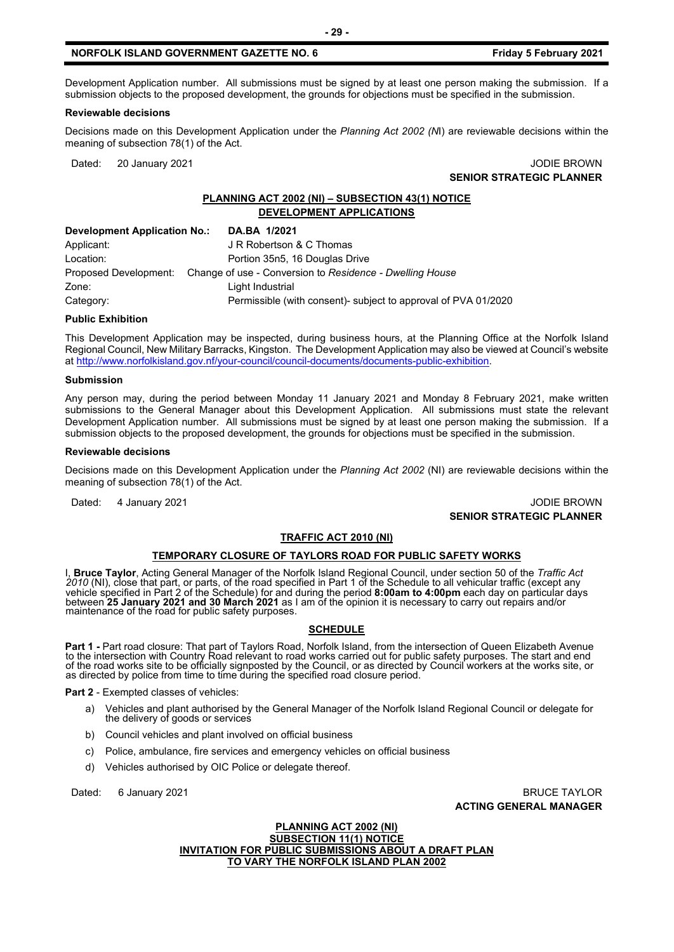Development Application number. All submissions must be signed by at least one person making the submission. If a submission objects to the proposed development, the grounds for objections must be specified in the submission.

#### **Reviewable decisions**

Decisions made on this Development Application under the *Planning Act 2002 (N*I) are reviewable decisions within the meaning of subsection 78(1) of the Act.

Dated: 20 January 2021 **John Communist Communist Communist Communist Communist Communist Communist Communist Communist Communist Communist Communist Communist Communist Communist Communist Communist Communist Communist Com SENIOR STRATEGIC PLANNER**

#### **PLANNING ACT 2002 (NI) – SUBSECTION 43(1) NOTICE DEVELOPMENT APPLICATIONS**

| <b>Development Application No.:</b> | DA.BA 1/2021                                                                   |  |
|-------------------------------------|--------------------------------------------------------------------------------|--|
| Applicant:                          | J R Robertson & C Thomas                                                       |  |
| Location:                           | Portion 35n5, 16 Douglas Drive                                                 |  |
|                                     | Proposed Development: Change of use - Conversion to Residence - Dwelling House |  |
| Zone:                               | Light Industrial                                                               |  |
| Category:                           | Permissible (with consent)- subject to approval of PVA 01/2020                 |  |

#### **Public Exhibition**

This Development Application may be inspected, during business hours, at the Planning Office at the Norfolk Island Regional Council, New Military Barracks, Kingston. The Development Application may also be viewed at Council's website a[t http://www.norfolkisland.gov.nf/your-council/council-documents/documents-public-exhibition.](http://www.norfolkisland.gov.nf/your-council/council-documents/documents-public-exhibition)

#### **Submission**

Any person may, during the period between Monday 11 January 2021 and Monday 8 February 2021, make written submissions to the General Manager about this Development Application. All submissions must state the relevant Development Application number. All submissions must be signed by at least one person making the submission. If a submission objects to the proposed development, the grounds for objections must be specified in the submission.

#### **Reviewable decisions**

Decisions made on this Development Application under the *Planning Act 2002* (NI) are reviewable decisions within the meaning of subsection 78(1) of the Act.

#### Dated: 4 January 2021 **Journal of American Control of American** Control of American Control of American Control of American Control of American Control of American Control of American Control of American Control of America **SENIOR STRATEGIC PLANNER**

#### **TRAFFIC ACT 2010 (NI)**

#### **TEMPORARY CLOSURE OF TAYLORS ROAD FOR PUBLIC SAFETY WORKS**

I, **Bruce Taylor**, Acting General Manager of the Norfolk Island Regional Council, under section 50 of the *Traffic Act 2010* (NI), close that part, or parts, of the road specified in Part 1 of the Schedule to all vehicular traffic (except any vehicle specified in Part 2 of the Schedule) for and during the period **8:00am to 4:00pm** each day on particular days between **25 January 2021 and 30 March 2021** as I am of the opinion it is necessary to carry out repairs and/or<br>maintenance of the road for public safety purposes.

## **SCHEDULE**

**Part 1 -** Part road closure: That part of Taylors Road, Norfolk Island, from the intersection of Queen Elizabeth Avenue to the intersection with Country Road relevant to road works carried out for public safety purposes. The start and end of the road works site to be officially signposted by the Council, or as directed by Council workers at the works site, or as directed by police from time to time during the specified road closure period.

**Part 2** - Exempted classes of vehicles:

- a) Vehicles and plant authorised by the General Manager of the Norfolk Island Regional Council or delegate for the delivery of goods or services
- b) Council vehicles and plant involved on official business
- c) Police, ambulance, fire services and emergency vehicles on official business
- d) Vehicles authorised by OIC Police or delegate thereof.

Dated: 6 January 2021 **BRUCE TAYLOR ACTING GENERAL MANAGER**

> **PLANNING ACT 2002 (NI) SUBSECTION 11(1) NOTICE INVITATION FOR PUBLIC SUBMISSIONS ABOUT A DRAFT PLAN TO VARY THE NORFOLK ISLAND PLAN 2002**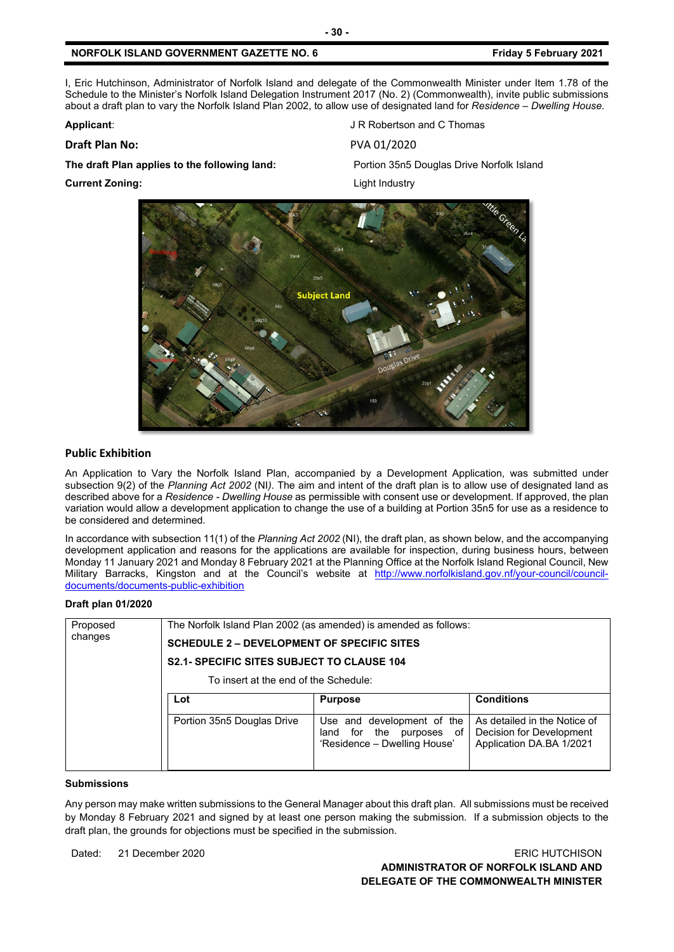I, Eric Hutchinson, Administrator of Norfolk Island and delegate of the Commonwealth Minister under Item 1.78 of the Schedule to the Minister's Norfolk Island Delegation Instrument 2017 (No. 2) (Commonwealth), invite public submissions about a draft plan to vary the Norfolk Island Plan 2002, to allow use of designated land for *Residence – Dwelling House.*

# **Draft Plan No:** PVA 01/2020

**The draft Plan applies to the following land:** Portion 35n5 Douglas Drive Norfolk Island

**Applicant:** Applicant: Applicant: Applicant: Applicant: Applicant: Applicant: Applicant: Applicant: Applicant: Applicant: Applicant: Applicant: Applicant: Applicant: Applicant: Applicant: Applicant: Applicant: Applicant:

**Current Zoning:** Light Industry



#### **Public Exhibition**

An Application to Vary the Norfolk Island Plan, accompanied by a Development Application, was submitted under subsection 9(2) of the *Planning Act 2002* (NI*)*. The aim and intent of the draft plan is to allow use of designated land as described above for a *Residence - Dwelling House* as permissible with consent use or development. If approved, the plan variation would allow a development application to change the use of a building at Portion 35n5 for use as a residence to be considered and determined.

In accordance with subsection 11(1) of the *Planning Act 2002* (NI), the draft plan, as shown below, and the accompanying development application and reasons for the applications are available for inspection, during business hours, between Monday 11 January 2021 and Monday 8 February 2021 at the Planning Office at the Norfolk Island Regional Council, New Military Barracks, Kingston and at the Council's website at [http://www.norfolkisland.gov.nf/your-council/council](http://www.norfolkisland.gov.nf/your-council/council-documents/documents-public-exhibition)[documents/documents-public-exhibition](http://www.norfolkisland.gov.nf/your-council/council-documents/documents-public-exhibition)

#### **Draft plan 01/2020**

| Proposed<br>changes | The Norfolk Island Plan 2002 (as amended) is amended as follows:<br><b>SCHEDULE 2 – DEVELOPMENT OF SPECIFIC SITES</b><br><b>S2.1- SPECIFIC SITES SUBJECT TO CLAUSE 104</b><br>To insert at the end of the Schedule: |                                                                                                             |                                                                                                           |  |
|---------------------|---------------------------------------------------------------------------------------------------------------------------------------------------------------------------------------------------------------------|-------------------------------------------------------------------------------------------------------------|-----------------------------------------------------------------------------------------------------------|--|
|                     | Lot<br>Portion 35n5 Douglas Drive                                                                                                                                                                                   | <b>Purpose</b><br>Use and development of the<br>for the purposes of<br>land<br>'Residence - Dwelling House' | <b>Conditions</b><br>As detailed in the Notice of<br>Decision for Development<br>Application DA.BA 1/2021 |  |

#### **Submissions**

Any person may make written submissions to the General Manager about this draft plan. All submissions must be received by Monday 8 February 2021 and signed by at least one person making the submission. If a submission objects to the draft plan, the grounds for objections must be specified in the submission.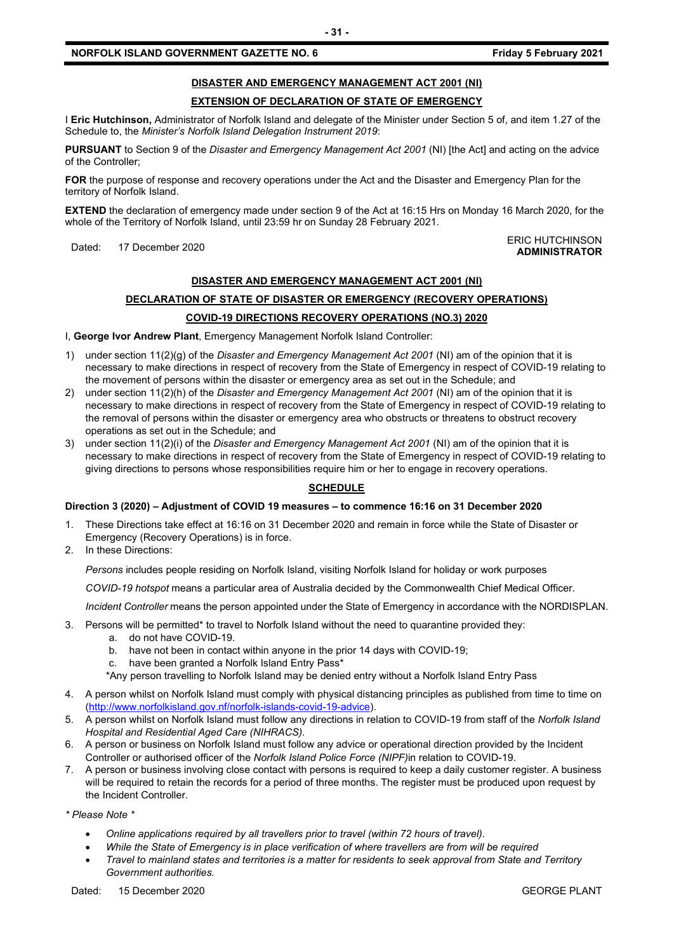# **DISASTER AND EMERGENCY MANAGEMENT ACT 2001 (NI)**

# **EXTENSION OF DECLARATION OF STATE OF EMERGENCY**

I **Eric Hutchinson,** Administrator of Norfolk Island and delegate of the Minister under Section 5 of, and item 1.27 of the Schedule to, the *Minister's Norfolk Island Delegation Instrument 2019*:

**PURSUANT** to Section 9 of the *Disaster and Emergency Management Act 2001* (NI) [the Act] and acting on the advice of the Controller;

**FOR** the purpose of response and recovery operations under the Act and the Disaster and Emergency Plan for the territory of Norfolk Island.

**EXTEND** the declaration of emergency made under section 9 of the Act at 16:15 Hrs on Monday 16 March 2020, for the whole of the Territory of Norfolk Island, until 23:59 hr on Sunday 28 February 2021.

#### Dated: 17 December 2020<br>Dated: 17 December 2020 **ADMINISTRATOR**

# **DISASTER AND EMERGENCY MANAGEMENT ACT 2001 (NI)**

# **DECLARATION OF STATE OF DISASTER OR EMERGENCY (RECOVERY OPERATIONS) COVID-19 DIRECTIONS RECOVERY OPERATIONS (NO.3) 2020**

I, **George Ivor Andrew Plant**, Emergency Management Norfolk Island Controller:

- 1) under section 11(2)(g) of the *Disaster and Emergency Management Act 2001* (NI) am of the opinion that it is necessary to make directions in respect of recovery from the State of Emergency in respect of COVID-19 relating to the movement of persons within the disaster or emergency area as set out in the Schedule; and
- 2) under section 11(2)(h) of the *Disaster and Emergency Management Act 2001* (NI) am of the opinion that it is necessary to make directions in respect of recovery from the State of Emergency in respect of COVID-19 relating to the removal of persons within the disaster or emergency area who obstructs or threatens to obstruct recovery operations as set out in the Schedule; and
- 3) under section 11(2)(i) of the *Disaster and Emergency Management Act 2001* (NI) am of the opinion that it is necessary to make directions in respect of recovery from the State of Emergency in respect of COVID-19 relating to giving directions to persons whose responsibilities require him or her to engage in recovery operations.

# **SCHEDULE**

#### **Direction 3 (2020) – Adjustment of COVID 19 measures – to commence 16:16 on 31 December 2020**

- 1. These Directions take effect at 16:16 on 31 December 2020 and remain in force while the State of Disaster or Emergency (Recovery Operations) is in force.
- 2. In these Directions:

*Persons* includes people residing on Norfolk Island, visiting Norfolk Island for holiday or work purposes

*COVID-19 hotspot* means a particular area of Australia decided by the Commonwealth Chief Medical Officer.

*Incident Controller* means the person appointed under the State of Emergency in accordance with the NORDISPLAN.

- 3. Persons will be permitted\* to travel to Norfolk Island without the need to quarantine provided they:
	- a. do not have COVID-19.
	- b. have not been in contact within anyone in the prior 14 days with COVID-19;
	- c. have been granted a Norfolk Island Entry Pass\*

\*Any person travelling to Norfolk Island may be denied entry without a Norfolk Island Entry Pass

- 4. A person whilst on Norfolk Island must comply with physical distancing principles as published from time to time on [\(http://www.norfolkisland.gov.nf/norfolk-islands-covid-19-advice\)](http://www.norfolkisland.gov.nf/norfolk-islands-covid-19-advice).
- 5. A person whilst on Norfolk Island must follow any directions in relation to COVID-19 from staff of the *Norfolk Island Hospital and Residential Aged Care (NIHRACS).*
- 6. A person or business on Norfolk Island must follow any advice or operational direction provided by the Incident Controller or authorised officer of the *Norfolk Island Police Force (NIPF)*in relation to COVID-19.
- 7. A person or business involving close contact with persons is required to keep a daily customer register. A business will be required to retain the records for a period of three months. The register must be produced upon request by the Incident Controller.

*\* Please Note \** 

- *Online applications required by all travellers prior to travel (within 72 hours of travel).*
- *While the State of Emergency is in place verification of where travellers are from will be required*
- *Travel to mainland states and territories is a matter for residents to seek approval from State and Territory Government authorities.*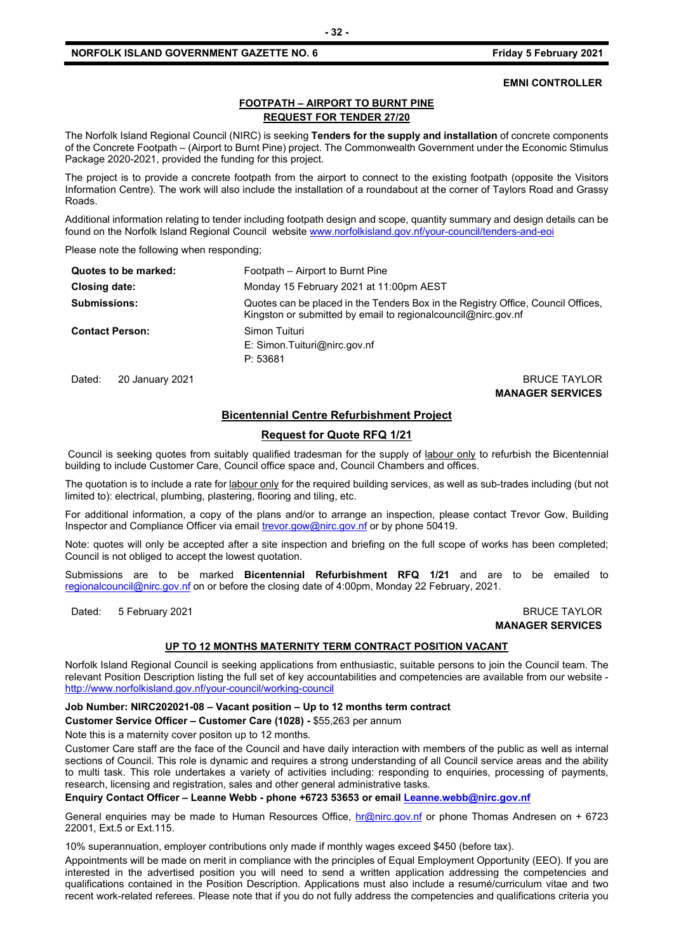#### **EMNI CONTROLLER**

# **FOOTPATH – AIRPORT TO BURNT PINE REQUEST FOR TENDER 27/20**

The Norfolk Island Regional Council (NIRC) is seeking **Tenders for the supply and installation** of concrete components of the Concrete Footpath – (Airport to Burnt Pine) project. The Commonwealth Government under the Economic Stimulus Package 2020-2021, provided the funding for this project.

The project is to provide a concrete footpath from the airport to connect to the existing footpath (opposite the Visitors Information Centre). The work will also include the installation of a roundabout at the corner of Taylors Road and Grassy Roads.

Additional information relating to tender including footpath design and scope, quantity summary and design details can be found on the Norfolk Island Regional Council websit[e www.norfolkisland.gov.nf/your-council/tenders-and-eoi](http://www.norfolkisland.gov.nf/your-council/tenders-and-eoi)

Please note the following when responding;

| Quotes to be marked:   | Footpath – Airport to Burnt Pine                                                                                                                    |
|------------------------|-----------------------------------------------------------------------------------------------------------------------------------------------------|
| Closing date:          | Monday 15 February 2021 at 11:00pm AEST                                                                                                             |
| <b>Submissions:</b>    | Quotes can be placed in the Tenders Box in the Registry Office, Council Offices,<br>Kingston or submitted by email to regional council @nirc.gov.nf |
| <b>Contact Person:</b> | Simon Tuituri<br>E: Simon.Tuituri@nirc.gov.nf<br>P: 53681                                                                                           |

Dated: 20 January 2021 2008 2012 12:30 20:30 20:30 20:30 20:30 20:30 20:30 20:30 20:30 20:30 20:30 20:30 20:30

**MANAGER SERVICES**

# **Bicentennial Centre Refurbishment Project**

#### **Request for Quote RFQ 1/21**

Council is seeking quotes from suitably qualified tradesman for the supply of labour only to refurbish the Bicentennial building to include Customer Care, Council office space and, Council Chambers and offices.

The quotation is to include a rate for labour only for the required building services, as well as sub-trades including (but not limited to): electrical, plumbing, plastering, flooring and tiling, etc.

For additional information, a copy of the plans and/or to arrange an inspection, please contact Trevor Gow, Building Inspector and Compliance Officer via email *trevor.gow@nirc.gov.nf* or by phone 50419.

Note: quotes will only be accepted after a site inspection and briefing on the full scope of works has been completed; Council is not obliged to accept the lowest quotation.

Submissions are to be marked **Bicentennial Refurbishment RFQ 1/21** and are to be emailed to [regionalcouncil@nirc.gov.nf](mailto:regionalcouncil@nirc.gov.nf) on or before the closing date of 4:00pm, Monday 22 February, 2021.

Dated: 5 February 2021 **BRUCE TAYLOR** 

**MANAGER SERVICES**

#### **UP TO 12 MONTHS MATERNITY TERM CONTRACT POSITION VACANT**

Norfolk Island Regional Council is seeking applications from enthusiastic, suitable persons to join the Council team. The relevant Position Description listing the full set of key accountabilities and competencies are available from our website <http://www.norfolkisland.gov.nf/your-council/working-council>

#### **Job Number: NIRC202021-08 – Vacant position – Up to 12 months term contract**

**Customer Service Officer – Customer Care (1028) -** \$55,263 per annum

Note this is a maternity cover positon up to 12 months.

Customer Care staff are the face of the Council and have daily interaction with members of the public as well as internal sections of Council. This role is dynamic and requires a strong understanding of all Council service areas and the ability to multi task. This role undertakes a variety of activities including: responding to enquiries, processing of payments, research, licensing and registration, sales and other general administrative tasks.

#### **Enquiry Contact Officer – Leanne Webb - phone +6723 53653 or email [Leanne.webb@nirc.gov.nf](mailto:Leanne.webb@nirc.gov.nf)**

General enquiries may be made to Human Resources Office, [hr@nirc.gov.nf](mailto:hr@nirc.gov.nf) or phone Thomas Andresen on + 6723 22001, Ext.5 or Ext.115.

10% superannuation, employer contributions only made if monthly wages exceed \$450 (before tax).

Appointments will be made on merit in compliance with the principles of Equal Employment Opportunity (EEO). If you are interested in the advertised position you will need to send a written application addressing the competencies and qualifications contained in the Position Description. Applications must also include a resumé/curriculum vitae and two recent work-related referees. Please note that if you do not fully address the competencies and qualifications criteria you